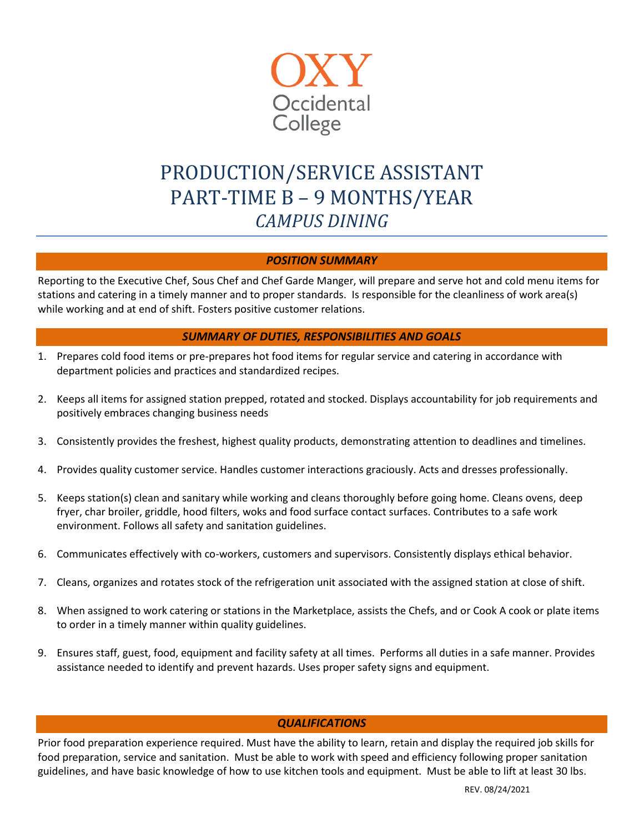

# PRODUCTION/SERVICE ASSISTANT PART-TIME B – 9 MONTHS/YEAR *CAMPUS DINING*

## *POSITION SUMMARY*

Reporting to the Executive Chef, Sous Chef and Chef Garde Manger, will prepare and serve hot and cold menu items for stations and catering in a timely manner and to proper standards. Is responsible for the cleanliness of work area(s) while working and at end of shift. Fosters positive customer relations.

#### *SUMMARY OF DUTIES, RESPONSIBILITIES AND GOALS*

- 1. Prepares cold food items or pre-prepares hot food items for regular service and catering in accordance with department policies and practices and standardized recipes.
- 2. Keeps all items for assigned station prepped, rotated and stocked. Displays accountability for job requirements and positively embraces changing business needs
- 3. Consistently provides the freshest, highest quality products, demonstrating attention to deadlines and timelines.
- 4. Provides quality customer service. Handles customer interactions graciously. Acts and dresses professionally.
- 5. Keeps station(s) clean and sanitary while working and cleans thoroughly before going home. Cleans ovens, deep fryer, char broiler, griddle, hood filters, woks and food surface contact surfaces. Contributes to a safe work environment. Follows all safety and sanitation guidelines.
- 6. Communicates effectively with co-workers, customers and supervisors. Consistently displays ethical behavior.
- 7. Cleans, organizes and rotates stock of the refrigeration unit associated with the assigned station at close of shift.
- 8. When assigned to work catering or stations in the Marketplace, assists the Chefs, and or Cook A cook or plate items to order in a timely manner within quality guidelines.
- 9. Ensures staff, guest, food, equipment and facility safety at all times. Performs all duties in a safe manner. Provides assistance needed to identify and prevent hazards. Uses proper safety signs and equipment.

# *QUALIFICATIONS*

Prior food preparation experience required. Must have the ability to learn, retain and display the required job skills for food preparation, service and sanitation. Must be able to work with speed and efficiency following proper sanitation guidelines, and have basic knowledge of how to use kitchen tools and equipment. Must be able to lift at least 30 lbs.